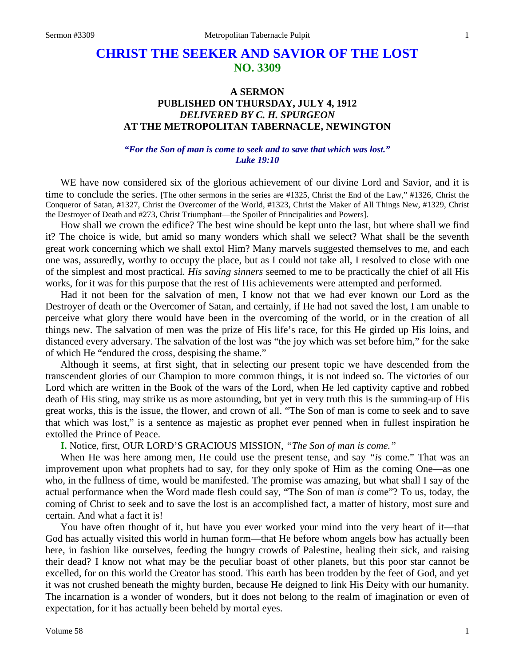# **CHRIST THE SEEKER AND SAVIOR OF THE LOST NO. 3309**

# **A SERMON PUBLISHED ON THURSDAY, JULY 4, 1912** *DELIVERED BY C. H. SPURGEON* **AT THE METROPOLITAN TABERNACLE, NEWINGTON**

# *"For the Son of man is come to seek and to save that which was lost." Luke 19:10*

WE have now considered six of the glorious achievement of our divine Lord and Savior, and it is time to conclude the series. [The other sermons in the series are #1325, Christ the End of the Law," #1326, Christ the Conqueror of Satan, #1327, Christ the Overcomer of the World, #1323, Christ the Maker of All Things New, #1329, Christ the Destroyer of Death and #273, Christ Triumphant—the Spoiler of Principalities and Powers].

How shall we crown the edifice? The best wine should be kept unto the last, but where shall we find it? The choice is wide, but amid so many wonders which shall we select? What shall be the seventh great work concerning which we shall extol Him? Many marvels suggested themselves to me, and each one was, assuredly, worthy to occupy the place, but as I could not take all, I resolved to close with one of the simplest and most practical. *His saving sinners* seemed to me to be practically the chief of all His works, for it was for this purpose that the rest of His achievements were attempted and performed.

Had it not been for the salvation of men, I know not that we had ever known our Lord as the Destroyer of death or the Overcomer of Satan, and certainly, if He had not saved the lost, I am unable to perceive what glory there would have been in the overcoming of the world, or in the creation of all things new. The salvation of men was the prize of His life's race, for this He girded up His loins, and distanced every adversary. The salvation of the lost was "the joy which was set before him," for the sake of which He "endured the cross, despising the shame."

Although it seems, at first sight, that in selecting our present topic we have descended from the transcendent glories of our Champion to more common things, it is not indeed so. The victories of our Lord which are written in the Book of the wars of the Lord, when He led captivity captive and robbed death of His sting, may strike us as more astounding, but yet in very truth this is the summing-up of His great works, this is the issue, the flower, and crown of all. "The Son of man is come to seek and to save that which was lost," is a sentence as majestic as prophet ever penned when in fullest inspiration he extolled the Prince of Peace.

**I.** Notice, first, OUR LORD'S GRACIOUS MISSION, *"The Son of man is come."*

When He was here among men, He could use the present tense, and say *"is* come." That was an improvement upon what prophets had to say, for they only spoke of Him as the coming One—as one who, in the fullness of time, would be manifested. The promise was amazing, but what shall I say of the actual performance when the Word made flesh could say, "The Son of man *is* come"? To us, today, the coming of Christ to seek and to save the lost is an accomplished fact, a matter of history, most sure and certain. And what a fact it is!

You have often thought of it, but have you ever worked your mind into the very heart of it—that God has actually visited this world in human form—that He before whom angels bow has actually been here, in fashion like ourselves, feeding the hungry crowds of Palestine, healing their sick, and raising their dead? I know not what may be the peculiar boast of other planets, but this poor star cannot be excelled, for on this world the Creator has stood. This earth has been trodden by the feet of God, and yet it was not crushed beneath the mighty burden, because He deigned to link His Deity with our humanity. The incarnation is a wonder of wonders, but it does not belong to the realm of imagination or even of expectation, for it has actually been beheld by mortal eyes.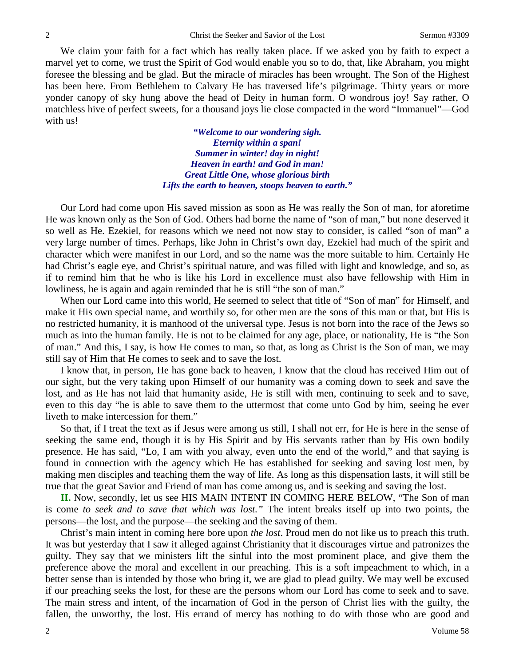We claim your faith for a fact which has really taken place. If we asked you by faith to expect a marvel yet to come, we trust the Spirit of God would enable you so to do, that, like Abraham, you might foresee the blessing and be glad. But the miracle of miracles has been wrought. The Son of the Highest has been here. From Bethlehem to Calvary He has traversed life's pilgrimage. Thirty years or more yonder canopy of sky hung above the head of Deity in human form. O wondrous joy! Say rather, O matchless hive of perfect sweets, for a thousand joys lie close compacted in the word "Immanuel"—God with us!

> *"Welcome to our wondering sigh. Eternity within a span! Summer in winter! day in night! Heaven in earth! and God in man! Great Little One, whose glorious birth Lifts the earth to heaven, stoops heaven to earth."*

Our Lord had come upon His saved mission as soon as He was really the Son of man, for aforetime He was known only as the Son of God. Others had borne the name of "son of man," but none deserved it so well as He. Ezekiel, for reasons which we need not now stay to consider, is called "son of man" a very large number of times. Perhaps, like John in Christ's own day, Ezekiel had much of the spirit and character which were manifest in our Lord, and so the name was the more suitable to him. Certainly He had Christ's eagle eye, and Christ's spiritual nature, and was filled with light and knowledge, and so, as if to remind him that he who is like his Lord in excellence must also have fellowship with Him in lowliness, he is again and again reminded that he is still "the son of man."

When our Lord came into this world, He seemed to select that title of "Son of man" for Himself, and make it His own special name, and worthily so, for other men are the sons of this man or that, but His is no restricted humanity, it is manhood of the universal type. Jesus is not born into the race of the Jews so much as into the human family. He is not to be claimed for any age, place, or nationality, He is "the Son of man." And this, I say, is how He comes to man, so that, as long as Christ is the Son of man, we may still say of Him that He comes to seek and to save the lost.

I know that, in person, He has gone back to heaven, I know that the cloud has received Him out of our sight, but the very taking upon Himself of our humanity was a coming down to seek and save the lost, and as He has not laid that humanity aside, He is still with men, continuing to seek and to save, even to this day "he is able to save them to the uttermost that come unto God by him, seeing he ever liveth to make intercession for them."

So that, if I treat the text as if Jesus were among us still, I shall not err, for He is here in the sense of seeking the same end, though it is by His Spirit and by His servants rather than by His own bodily presence. He has said, "Lo, I am with you alway, even unto the end of the world," and that saying is found in connection with the agency which He has established for seeking and saving lost men, by making men disciples and teaching them the way of life. As long as this dispensation lasts, it will still be true that the great Savior and Friend of man has come among us, and is seeking and saving the lost.

**II.** Now, secondly, let us see HIS MAIN INTENT IN COMING HERE BELOW, "The Son of man is come *to seek and to save that which was lost."* The intent breaks itself up into two points, the persons—the lost, and the purpose—the seeking and the saving of them.

Christ's main intent in coming here bore upon *the lost*. Proud men do not like us to preach this truth. It was but yesterday that I saw it alleged against Christianity that it discourages virtue and patronizes the guilty. They say that we ministers lift the sinful into the most prominent place, and give them the preference above the moral and excellent in our preaching. This is a soft impeachment to which, in a better sense than is intended by those who bring it, we are glad to plead guilty. We may well be excused if our preaching seeks the lost, for these are the persons whom our Lord has come to seek and to save. The main stress and intent, of the incarnation of God in the person of Christ lies with the guilty, the fallen, the unworthy, the lost. His errand of mercy has nothing to do with those who are good and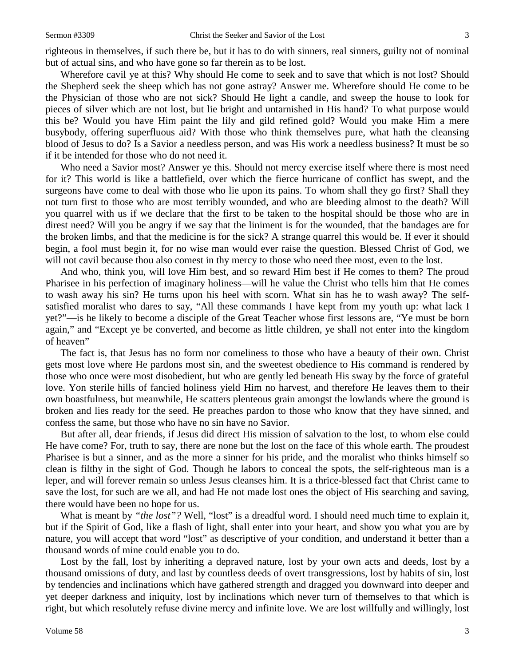Wherefore cavil ye at this? Why should He come to seek and to save that which is not lost? Should the Shepherd seek the sheep which has not gone astray? Answer me. Wherefore should He come to be the Physician of those who are not sick? Should He light a candle, and sweep the house to look for pieces of silver which are not lost, but lie bright and untarnished in His hand? To what purpose would this be? Would you have Him paint the lily and gild refined gold? Would you make Him a mere busybody, offering superfluous aid? With those who think themselves pure, what hath the cleansing blood of Jesus to do? Is a Savior a needless person, and was His work a needless business? It must be so if it be intended for those who do not need it.

Who need a Savior most? Answer ye this. Should not mercy exercise itself where there is most need for it? This world is like a battlefield, over which the fierce hurricane of conflict has swept, and the surgeons have come to deal with those who lie upon its pains. To whom shall they go first? Shall they not turn first to those who are most terribly wounded, and who are bleeding almost to the death? Will you quarrel with us if we declare that the first to be taken to the hospital should be those who are in direst need? Will you be angry if we say that the liniment is for the wounded, that the bandages are for the broken limbs, and that the medicine is for the sick? A strange quarrel this would be. If ever it should begin, a fool must begin it, for no wise man would ever raise the question. Blessed Christ of God, we will not cavil because thou also comest in thy mercy to those who need thee most, even to the lost.

And who, think you, will love Him best, and so reward Him best if He comes to them? The proud Pharisee in his perfection of imaginary holiness—will he value the Christ who tells him that He comes to wash away his sin? He turns upon his heel with scorn. What sin has he to wash away? The selfsatisfied moralist who dares to say, "All these commands I have kept from my youth up: what lack I yet?"—is he likely to become a disciple of the Great Teacher whose first lessons are, "Ye must be born again," and "Except ye be converted, and become as little children, ye shall not enter into the kingdom of heaven"

The fact is, that Jesus has no form nor comeliness to those who have a beauty of their own. Christ gets most love where He pardons most sin, and the sweetest obedience to His command is rendered by those who once were most disobedient, but who are gently led beneath His sway by the force of grateful love. Yon sterile hills of fancied holiness yield Him no harvest, and therefore He leaves them to their own boastfulness, but meanwhile, He scatters plenteous grain amongst the lowlands where the ground is broken and lies ready for the seed. He preaches pardon to those who know that they have sinned, and confess the same, but those who have no sin have no Savior.

But after all, dear friends, if Jesus did direct His mission of salvation to the lost, to whom else could He have come? For, truth to say, there are none but the lost on the face of this whole earth. The proudest Pharisee is but a sinner, and as the more a sinner for his pride, and the moralist who thinks himself so clean is filthy in the sight of God. Though he labors to conceal the spots, the self-righteous man is a leper, and will forever remain so unless Jesus cleanses him. It is a thrice-blessed fact that Christ came to save the lost, for such are we all, and had He not made lost ones the object of His searching and saving, there would have been no hope for us.

What is meant by "*the lost*"? Well, "lost" is a dreadful word. I should need much time to explain it, but if the Spirit of God, like a flash of light, shall enter into your heart, and show you what you are by nature, you will accept that word "lost" as descriptive of your condition, and understand it better than a thousand words of mine could enable you to do.

Lost by the fall, lost by inheriting a depraved nature, lost by your own acts and deeds, lost by a thousand omissions of duty, and last by countless deeds of overt transgressions, lost by habits of sin, lost by tendencies and inclinations which have gathered strength and dragged you downward into deeper and yet deeper darkness and iniquity, lost by inclinations which never turn of themselves to that which is right, but which resolutely refuse divine mercy and infinite love. We are lost willfully and willingly, lost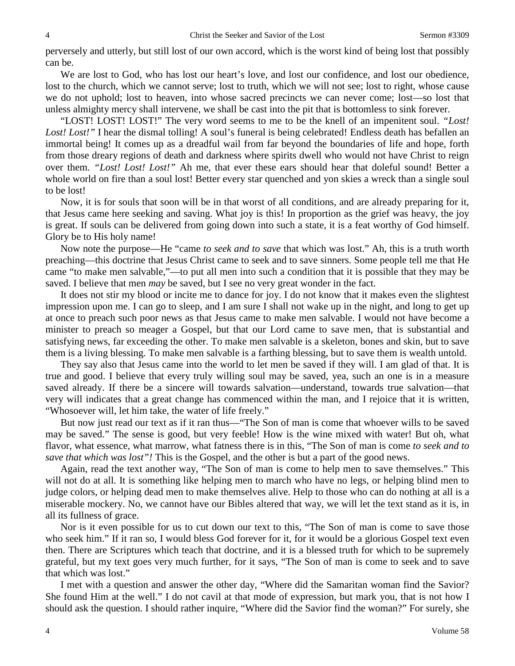perversely and utterly, but still lost of our own accord, which is the worst kind of being lost that possibly can be.

We are lost to God, who has lost our heart's love, and lost our confidence, and lost our obedience, lost to the church, which we cannot serve; lost to truth, which we will not see; lost to right, whose cause we do not uphold; lost to heaven, into whose sacred precincts we can never come; lost—so lost that unless almighty mercy shall intervene, we shall be cast into the pit that is bottomless to sink forever.

"LOST! LOST! LOST!" The very word seems to me to be the knell of an impenitent soul. *"Lost!*  Lost! Lost!" I hear the dismal tolling! A soul's funeral is being celebrated! Endless death has befallen an immortal being! It comes up as a dreadful wail from far beyond the boundaries of life and hope, forth from those dreary regions of death and darkness where spirits dwell who would not have Christ to reign over them. *"Lost! Lost! Lost!"* Ah me, that ever these ears should hear that doleful sound! Better a whole world on fire than a soul lost! Better every star quenched and yon skies a wreck than a single soul to be lost!

Now, it is for souls that soon will be in that worst of all conditions, and are already preparing for it, that Jesus came here seeking and saving. What joy is this! In proportion as the grief was heavy, the joy is great. If souls can be delivered from going down into such a state, it is a feat worthy of God himself. Glory be to His holy name!

Now note the purpose—He "came *to seek and to save* that which was lost." Ah, this is a truth worth preaching—this doctrine that Jesus Christ came to seek and to save sinners. Some people tell me that He came "to make men salvable,"—to put all men into such a condition that it is possible that they may be saved. I believe that men *may* be saved, but I see no very great wonder in the fact.

It does not stir my blood or incite me to dance for joy. I do not know that it makes even the slightest impression upon me. I can go to sleep, and I am sure I shall not wake up in the night, and long to get up at once to preach such poor news as that Jesus came to make men salvable. I would not have become a minister to preach so meager a Gospel, but that our Lord came to save men, that is substantial and satisfying news, far exceeding the other. To make men salvable is a skeleton, bones and skin, but to save them is a living blessing. To make men salvable is a farthing blessing, but to save them is wealth untold.

They say also that Jesus came into the world to let men be saved if they will. I am glad of that. It is true and good. I believe that every truly willing soul may be saved, yea, such an one is in a measure saved already. If there be a sincere will towards salvation—understand, towards true salvation—that very will indicates that a great change has commenced within the man, and I rejoice that it is written, "Whosoever will, let him take, the water of life freely."

But now just read our text as if it ran thus—"The Son of man is come that whoever wills to be saved may be saved." The sense is good, but very feeble! How is the wine mixed with water! But oh, what flavor, what essence, what marrow, what fatness there is in this, "The Son of man is come *to seek and to save that which was lost"!* This is the Gospel, and the other is but a part of the good news.

Again, read the text another way, "The Son of man is come to help men to save themselves." This will not do at all. It is something like helping men to march who have no legs, or helping blind men to judge colors, or helping dead men to make themselves alive. Help to those who can do nothing at all is a miserable mockery. No, we cannot have our Bibles altered that way, we will let the text stand as it is, in all its fullness of grace.

Nor is it even possible for us to cut down our text to this, "The Son of man is come to save those who seek him." If it ran so, I would bless God forever for it, for it would be a glorious Gospel text even then. There are Scriptures which teach that doctrine, and it is a blessed truth for which to be supremely grateful, but my text goes very much further, for it says, "The Son of man is come to seek and to save that which was lost."

I met with a question and answer the other day, "Where did the Samaritan woman find the Savior? She found Him at the well." I do not cavil at that mode of expression, but mark you, that is not how I should ask the question. I should rather inquire, "Where did the Savior find the woman?" For surely, she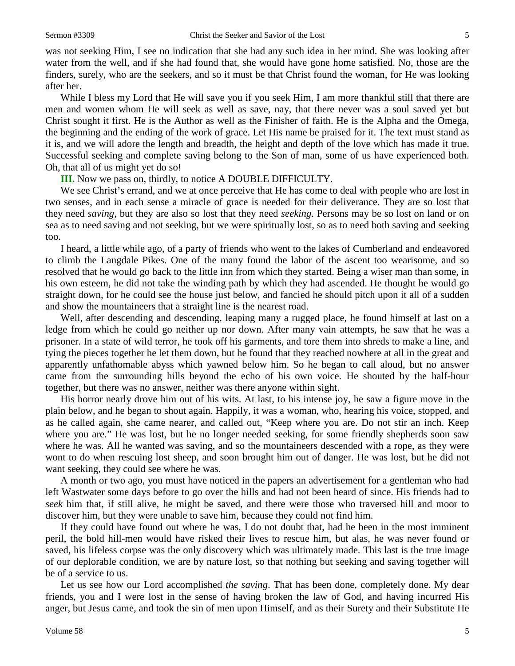was not seeking Him, I see no indication that she had any such idea in her mind. She was looking after water from the well, and if she had found that, she would have gone home satisfied. No, those are the finders, surely, who are the seekers, and so it must be that Christ found the woman, for He was looking after her.

While I bless my Lord that He will save you if you seek Him, I am more thankful still that there are men and women whom He will seek as well as save, nay, that there never was a soul saved yet but Christ sought it first. He is the Author as well as the Finisher of faith. He is the Alpha and the Omega, the beginning and the ending of the work of grace. Let His name be praised for it. The text must stand as it is, and we will adore the length and breadth, the height and depth of the love which has made it true. Successful seeking and complete saving belong to the Son of man, some of us have experienced both. Oh, that all of us might yet do so!

### **III.** Now we pass on, thirdly, to notice A DOUBLE DIFFICULTY.

We see Christ's errand, and we at once perceive that He has come to deal with people who are lost in two senses, and in each sense a miracle of grace is needed for their deliverance. They are so lost that they need *saving,* but they are also so lost that they need *seeking*. Persons may be so lost on land or on sea as to need saving and not seeking, but we were spiritually lost, so as to need both saving and seeking too.

I heard, a little while ago, of a party of friends who went to the lakes of Cumberland and endeavored to climb the Langdale Pikes. One of the many found the labor of the ascent too wearisome, and so resolved that he would go back to the little inn from which they started. Being a wiser man than some, in his own esteem, he did not take the winding path by which they had ascended. He thought he would go straight down, for he could see the house just below, and fancied he should pitch upon it all of a sudden and show the mountaineers that a straight line is the nearest road.

Well, after descending and descending, leaping many a rugged place, he found himself at last on a ledge from which he could go neither up nor down. After many vain attempts, he saw that he was a prisoner. In a state of wild terror, he took off his garments, and tore them into shreds to make a line, and tying the pieces together he let them down, but he found that they reached nowhere at all in the great and apparently unfathomable abyss which yawned below him. So he began to call aloud, but no answer came from the surrounding hills beyond the echo of his own voice. He shouted by the half-hour together, but there was no answer, neither was there anyone within sight.

His horror nearly drove him out of his wits. At last, to his intense joy, he saw a figure move in the plain below, and he began to shout again. Happily, it was a woman, who, hearing his voice, stopped, and as he called again, she came nearer, and called out, "Keep where you are. Do not stir an inch. Keep where you are." He was lost, but he no longer needed seeking, for some friendly shepherds soon saw where he was. All he wanted was saving, and so the mountaineers descended with a rope, as they were wont to do when rescuing lost sheep, and soon brought him out of danger. He was lost, but he did not want seeking, they could see where he was.

A month or two ago, you must have noticed in the papers an advertisement for a gentleman who had left Wastwater some days before to go over the hills and had not been heard of since. His friends had to *seek* him that, if still alive, he might be saved, and there were those who traversed hill and moor to discover him, but they were unable to save him, because they could not find him.

If they could have found out where he was, I do not doubt that, had he been in the most imminent peril, the bold hill-men would have risked their lives to rescue him, but alas, he was never found or saved, his lifeless corpse was the only discovery which was ultimately made. This last is the true image of our deplorable condition, we are by nature lost, so that nothing but seeking and saving together will be of a service to us.

Let us see how our Lord accomplished *the saving*. That has been done, completely done. My dear friends, you and I were lost in the sense of having broken the law of God, and having incurred His anger, but Jesus came, and took the sin of men upon Himself, and as their Surety and their Substitute He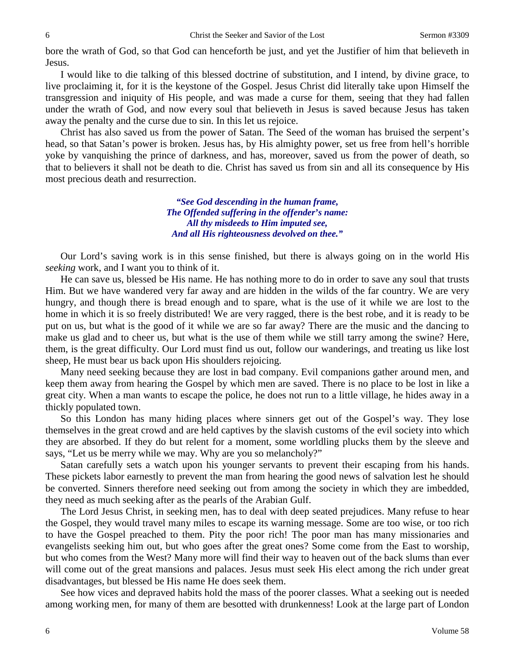bore the wrath of God, so that God can henceforth be just, and yet the Justifier of him that believeth in Jesus.

I would like to die talking of this blessed doctrine of substitution, and I intend, by divine grace, to live proclaiming it, for it is the keystone of the Gospel. Jesus Christ did literally take upon Himself the transgression and iniquity of His people, and was made a curse for them, seeing that they had fallen under the wrath of God, and now every soul that believeth in Jesus is saved because Jesus has taken away the penalty and the curse due to sin. In this let us rejoice.

Christ has also saved us from the power of Satan. The Seed of the woman has bruised the serpent's head, so that Satan's power is broken. Jesus has, by His almighty power, set us free from hell's horrible yoke by vanquishing the prince of darkness, and has, moreover, saved us from the power of death, so that to believers it shall not be death to die. Christ has saved us from sin and all its consequence by His most precious death and resurrection.

> *"See God descending in the human frame, The Offended suffering in the offender's name: All thy misdeeds to Him imputed see, And all His righteousness devolved on thee."*

Our Lord's saving work is in this sense finished, but there is always going on in the world His *seeking* work, and I want you to think of it.

He can save us, blessed be His name. He has nothing more to do in order to save any soul that trusts Him. But we have wandered very far away and are hidden in the wilds of the far country. We are very hungry, and though there is bread enough and to spare, what is the use of it while we are lost to the home in which it is so freely distributed! We are very ragged, there is the best robe, and it is ready to be put on us, but what is the good of it while we are so far away? There are the music and the dancing to make us glad and to cheer us, but what is the use of them while we still tarry among the swine? Here, them, is the great difficulty. Our Lord must find us out, follow our wanderings, and treating us like lost sheep, He must bear us back upon His shoulders rejoicing.

Many need seeking because they are lost in bad company. Evil companions gather around men, and keep them away from hearing the Gospel by which men are saved. There is no place to be lost in like a great city. When a man wants to escape the police, he does not run to a little village, he hides away in a thickly populated town.

So this London has many hiding places where sinners get out of the Gospel's way. They lose themselves in the great crowd and are held captives by the slavish customs of the evil society into which they are absorbed. If they do but relent for a moment, some worldling plucks them by the sleeve and says, "Let us be merry while we may. Why are you so melancholy?"

Satan carefully sets a watch upon his younger servants to prevent their escaping from his hands. These pickets labor earnestly to prevent the man from hearing the good news of salvation lest he should be converted. Sinners therefore need seeking out from among the society in which they are imbedded, they need as much seeking after as the pearls of the Arabian Gulf.

The Lord Jesus Christ, in seeking men, has to deal with deep seated prejudices. Many refuse to hear the Gospel, they would travel many miles to escape its warning message. Some are too wise, or too rich to have the Gospel preached to them. Pity the poor rich! The poor man has many missionaries and evangelists seeking him out, but who goes after the great ones? Some come from the East to worship, but who comes from the West? Many more will find their way to heaven out of the back slums than ever will come out of the great mansions and palaces. Jesus must seek His elect among the rich under great disadvantages, but blessed be His name He does seek them.

See how vices and depraved habits hold the mass of the poorer classes. What a seeking out is needed among working men, for many of them are besotted with drunkenness! Look at the large part of London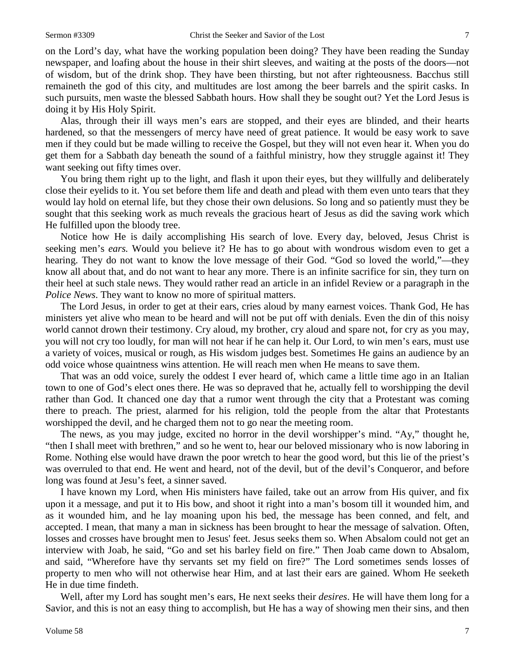on the Lord's day, what have the working population been doing? They have been reading the Sunday newspaper, and loafing about the house in their shirt sleeves, and waiting at the posts of the doors—not of wisdom, but of the drink shop. They have been thirsting, but not after righteousness. Bacchus still remaineth the god of this city, and multitudes are lost among the beer barrels and the spirit casks. In such pursuits, men waste the blessed Sabbath hours. How shall they be sought out? Yet the Lord Jesus is doing it by His Holy Spirit.

Alas, through their ill ways men's ears are stopped, and their eyes are blinded, and their hearts hardened, so that the messengers of mercy have need of great patience. It would be easy work to save men if they could but be made willing to receive the Gospel, but they will not even hear it. When you do get them for a Sabbath day beneath the sound of a faithful ministry, how they struggle against it! They want seeking out fifty times over.

You bring them right up to the light, and flash it upon their eyes, but they willfully and deliberately close their eyelids to it. You set before them life and death and plead with them even unto tears that they would lay hold on eternal life, but they chose their own delusions. So long and so patiently must they be sought that this seeking work as much reveals the gracious heart of Jesus as did the saving work which He fulfilled upon the bloody tree.

Notice how He is daily accomplishing His search of love. Every day, beloved, Jesus Christ is seeking men's *ears.* Would you believe it? He has to go about with wondrous wisdom even to get a hearing. They do not want to know the love message of their God. "God so loved the world,"—they know all about that, and do not want to hear any more. There is an infinite sacrifice for sin, they turn on their heel at such stale news. They would rather read an article in an infidel Review or a paragraph in the *Police News.* They want to know no more of spiritual matters.

The Lord Jesus, in order to get at their ears, cries aloud by many earnest voices. Thank God, He has ministers yet alive who mean to be heard and will not be put off with denials. Even the din of this noisy world cannot drown their testimony. Cry aloud, my brother, cry aloud and spare not, for cry as you may, you will not cry too loudly, for man will not hear if he can help it. Our Lord, to win men's ears, must use a variety of voices, musical or rough, as His wisdom judges best. Sometimes He gains an audience by an odd voice whose quaintness wins attention. He will reach men when He means to save them.

That was an odd voice, surely the oddest I ever heard of, which came a little time ago in an Italian town to one of God's elect ones there. He was so depraved that he, actually fell to worshipping the devil rather than God. It chanced one day that a rumor went through the city that a Protestant was coming there to preach. The priest, alarmed for his religion, told the people from the altar that Protestants worshipped the devil, and he charged them not to go near the meeting room.

The news, as you may judge, excited no horror in the devil worshipper's mind. "Ay," thought he, "then I shall meet with brethren," and so he went to, hear our beloved missionary who is now laboring in Rome. Nothing else would have drawn the poor wretch to hear the good word, but this lie of the priest's was overruled to that end. He went and heard, not of the devil, but of the devil's Conqueror, and before long was found at Jesu's feet, a sinner saved.

I have known my Lord, when His ministers have failed, take out an arrow from His quiver, and fix upon it a message, and put it to His bow, and shoot it right into a man's bosom till it wounded him, and as it wounded him, and he lay moaning upon his bed, the message has been conned, and felt, and accepted. I mean, that many a man in sickness has been brought to hear the message of salvation. Often, losses and crosses have brought men to Jesus' feet. Jesus seeks them so. When Absalom could not get an interview with Joab, he said, "Go and set his barley field on fire." Then Joab came down to Absalom, and said, "Wherefore have thy servants set my field on fire?" The Lord sometimes sends losses of property to men who will not otherwise hear Him, and at last their ears are gained. Whom He seeketh He in due time findeth.

Well, after my Lord has sought men's ears, He next seeks their *desires*. He will have them long for a Savior, and this is not an easy thing to accomplish, but He has a way of showing men their sins, and then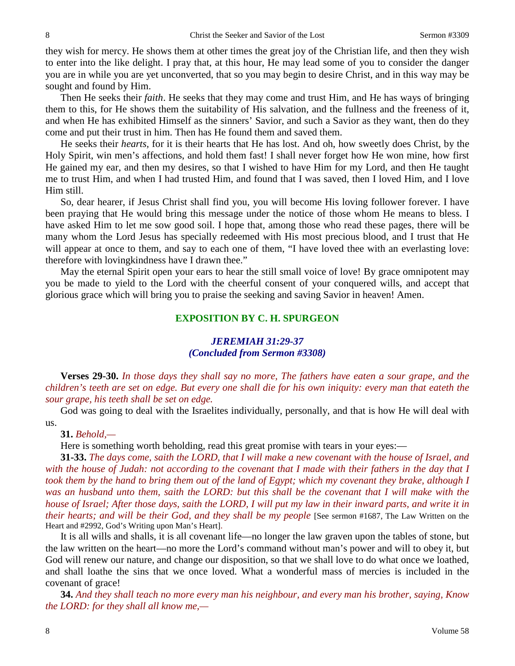they wish for mercy. He shows them at other times the great joy of the Christian life, and then they wish to enter into the like delight. I pray that, at this hour, He may lead some of you to consider the danger you are in while you are yet unconverted, that so you may begin to desire Christ, and in this way may be sought and found by Him.

Then He seeks their *faith*. He seeks that they may come and trust Him, and He has ways of bringing them to this, for He shows them the suitability of His salvation, and the fullness and the freeness of it, and when He has exhibited Himself as the sinners' Savior, and such a Savior as they want, then do they come and put their trust in him. Then has He found them and saved them.

He seeks their *hearts,* for it is their hearts that He has lost. And oh, how sweetly does Christ, by the Holy Spirit, win men's affections, and hold them fast! I shall never forget how He won mine, how first He gained my ear, and then my desires, so that I wished to have Him for my Lord, and then He taught me to trust Him, and when I had trusted Him, and found that I was saved, then I loved Him, and I love Him still.

So, dear hearer, if Jesus Christ shall find you, you will become His loving follower forever. I have been praying that He would bring this message under the notice of those whom He means to bless. I have asked Him to let me sow good soil. I hope that, among those who read these pages, there will be many whom the Lord Jesus has specially redeemed with His most precious blood, and I trust that He will appear at once to them, and say to each one of them, "I have loved thee with an everlasting love: therefore with lovingkindness have I drawn thee."

May the eternal Spirit open your ears to hear the still small voice of love! By grace omnipotent may you be made to yield to the Lord with the cheerful consent of your conquered wills, and accept that glorious grace which will bring you to praise the seeking and saving Savior in heaven! Amen.

# **EXPOSITION BY C. H. SPURGEON**

# *JEREMIAH 31:29-37 (Concluded from Sermon #3308)*

**Verses 29-30.** *In those days they shall say no more, The fathers have eaten a sour grape, and the children's teeth are set on edge. But every one shall die for his own iniquity: every man that eateth the sour grape, his teeth shall be set on edge.*

God was going to deal with the Israelites individually, personally, and that is how He will deal with us.

**31.** *Behold,—*

Here is something worth beholding, read this great promise with tears in your eyes:—

**31-33.** *The days come, saith the LORD, that I will make a new covenant with the house of Israel, and*  with the house of Judah: not according to the covenant that I made with their fathers in the day that I *took them by the hand to bring them out of the land of Egypt; which my covenant they brake, although I*  was an husband unto them, saith the LORD: but this shall be the covenant that I will make with the *house of Israel; After those days, saith the LORD, I will put my law in their inward parts, and write it in their hearts; and will be their God, and they shall be my people* [See sermon #1687, The Law Written on the Heart and #2992, God's Writing upon Man's Heart].

It is all wills and shalls, it is all covenant life—no longer the law graven upon the tables of stone, but the law written on the heart—no more the Lord's command without man's power and will to obey it, but God will renew our nature, and change our disposition, so that we shall love to do what once we loathed, and shall loathe the sins that we once loved. What a wonderful mass of mercies is included in the covenant of grace!

**34.** *And they shall teach no more every man his neighbour, and every man his brother, saying, Know the LORD: for they shall all know me,—*